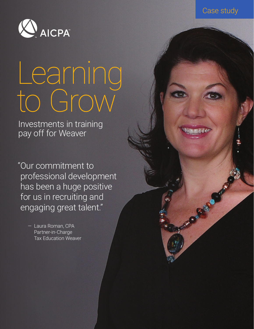



# Learning to Grow

Investments in training pay off for Weaver

"Our commitment to professional development has been a huge positive for us in recruiting and engaging great talent."

> — Laura Roman, CPA Partner-in-Charge Tax Education Weaver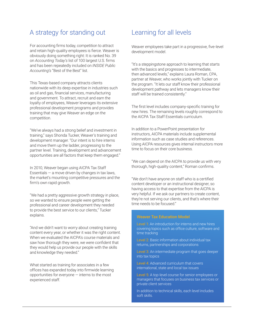# A strategy for standing out Learning for all levels

For accounting firms today, competition to attract and retain high-quality employees is fierce. Weaver is obviously doing something right: It is ranked No. 39 on *Accounting Today's* list of 100 largest U.S. firms and has been repeatedly included on *INSIDE Public Accounting's* "Best of the Best" list.

This Texas-based company attracts clients nationwide with its deep expertise in industries such as oil and gas, financial services, manufacturing and government. To attract, recruit and earn the loyalty of employees, Weaver leverages its extensive professional development programs and provides training that may give Weaver an edge on the competition.

"We've always had a strong belief and investment in training," says Shonda Tucker, Weaver's training and development manager. "Our intent is to hire interns and move them up the ladder, progressing to the partner level. Training, development and advancement opportunities are all factors that keep them engaged."

In 2010, Weaver began using AICPA Tax Staff Essentials  $-$  a move driven by changes in tax laws, the market's mounting competitive pressures and the firm's own rapid growth.

"We had a pretty aggressive growth strategy in place, so we wanted to ensure people were getting the professional and career development they needed to provide the best service to our clients," Tucker explains.

"And we didn't want to worry about creating training content every year, or whether it was the right content. When we evaluated the AICPA's course materials and saw how thorough they were, we were confident that they would help us provide our people with the skills and knowledge they needed."

What started as training for associates in a few offices has expanded today into firmwide learning opportunities for everyone — interns to the most experienced staff.

Weaver employees take part in a progressive, five-level development model.

"It's a steppingstone approach to learning that starts with the basics and progresses to intermediate. then advanced levels," explains Laura Roman, CPA, partner at Weaver, who works jointly with Tucker on the program. "It lets our staff know their professional development pathway and lets managers know their staff will be trained consistently."

The first level includes company-specific training for new hires. The remaining levels roughly correspond to the AICPA Tax Staff Essentials curriculum.

In addition to a PowerPoint presentation for instructors, AICPA materials include supplemental information such as case studies and references. Using AICPA resources gives internal instructors more time to focus on their core business.

"We can depend on the AICPA to provide us with very thorough, high-quality content," Roman confirms.

"We don't have anyone on staff who is a certified content developer or an instructional designer, so having access to that expertise from the AICPA is very helpful. If we ask our partners to create content, they're not serving our clients, and that's where their time needs to be focused."

### Weaver Tax Education Model

Level 1: An introduction for interns and new hires covering topics such as office culture, software and time tracking

Level 2: Basic information about individual tax returns, partnerships and corporations

Level 3: An intermediate program that goes deeper into tax topics

Level 4: Advanced curriculum that covers international, state and local tax issues

Level 5: A top-level course for senior employees or managers that focuses on business tax services or private client services

In addition to technical skills, each level includes soft skills.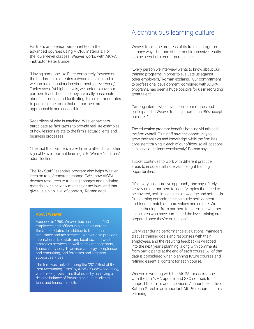Partners and senior personnel teach the advanced courses using AICPA materials. For the lower-level classes, Weaver works with AICPA instructor Peter Bunce.

"Having someone like Peter completely focused on the fundamentals creates a dynamic dialog and a welcoming educational environment for everyone," Tucker says. "At higher levels, we prefer to have our partners teach, because they are really passionate about instructing and facilitating. It also demonstrates to people in the room that our partners are approachable and accessible."

Regardless of who is teaching, Weaver partners participate as facilitators to provide real-life examples of how lessons relate to the firm's actual clients and business processes.

"The fact that partners make time to attend is another sign of how important learning is to Weaver's culture," adds Tucker.

The Tax Staff Essentials program also helps Weaver keep on top of constant change. "We know AICPA devotes resources to tracking changes and updating materials with new court cases or tax laws, and that gives us a high level of comfort," Roman adds.

#### About Weaver

Founded in 1950, Weaver has more than 650 employees and offices in nine cities across the United States. In addition to traditional assurance and tax services, Weaver also provides international tax, state and local tax, and wealth strategies services as well as risk management, financial advisory, IT advisory, energy compliance and consulting, and forensics and litigation support services.

The firm was ranked among the "2017 Best of the Best Accounting Firms" by *INSIDE Public Accounting*, which recognizes firms that excel by achieving a delicate balance of focusing on culture, clients, team and financial results.

## A continuous learning culture

Weaver tracks the progress of its training programs in many ways, but one of the most impressive results can be seen in its recruitment success.

"Every person we interview wants to know about our training programs in order to evaluate us against other employers," Roman explains. "Our commitment to professional development, combined with AICPA programs, has been a huge positive for us in recruiting great talent.

"Among interns who have been in our offices and participated in Weaver training, more than 95% accept our offer."

The education program benefits both individuals and the firm overall. "Our staff have the opportunity to grow their abilities and knowledge, while the firm has consistent training in each of our offices, so all locations can serve our clients consistently," Roman says.

Tucker continues to work with different practice areas to ensure staff receives the right training opportunities.

"It's a very collaborative approach," she says. "I rely heavily on our partners to identify topics that need to be covered, both in technical knowledge and soft skills. Our learning committee helps guide both content and tone to match our core values and culture. We also gather input from partners to determine whether associates who have completed the level training are prepared once they're on the job."

Every year during performance evaluations, managers discuss training goals and responses with their employees, and the resulting feedback is wrapped into the next year's planning, along with comments from participants at the end of each course. All of that data is considered when planning future courses and refining essential content for each course.

Weaver is working with the AICPA for assistance with the firm's AA update, and SEC courses to support the firm's audit services. Account executive Katrina Street is an important AICPA resource in this planning.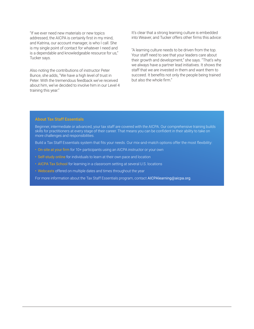"If we ever need new materials or new topics addressed, the AICPA is certainly first in my mind, and Katrina, our account manager, is who I call. She is my single point of contact for whatever I need and is a dependable and knowledgeable resource for us," Tucker says.

Also noting the contributions of instructor Peter Bunce, she adds, "We have a high level of trust in Peter. With the tremendous feedback we've received about him, we've decided to involve him in our Level 4 training this year."

It's clear that a strong learning culture is embedded into Weaver, and Tucker offers other firms this advice:

"A learning culture needs to be driven from the top. Your staff need to see that your leaders care about their growth and development," she says. "That's why we always have a partner lead initiatives. It shows the staff that we are invested in them and want them to succeed. It benefits not only the people being trained but also the whole firm."

#### About Tax Staff Essentials

Beginner, intermediate or advanced, your tax staff are covered with the AICPA. Our comprehensive training builds skills for practitioners at every stage of their career. That means you can be confident in their ability to take on more challenges and responsibilities.

Build a Tax Staff Essentials system that fits your needs. Our mix-and-match options offer the most flexibility:

- On-site at your firm for 10+ participants using an AICPA instructor or your own
- Self-study online for individuals to learn at their own pace and location
- AICPA Tax School for learning in a classroom setting at several U.S. locations
- Webcasts offered on multiple dates and times throughout the year

For more information about the Tax Staff Essentials program, contact [AICPAlearning@aicpa.org](http://www.AICPAlearning@aicpa.org).